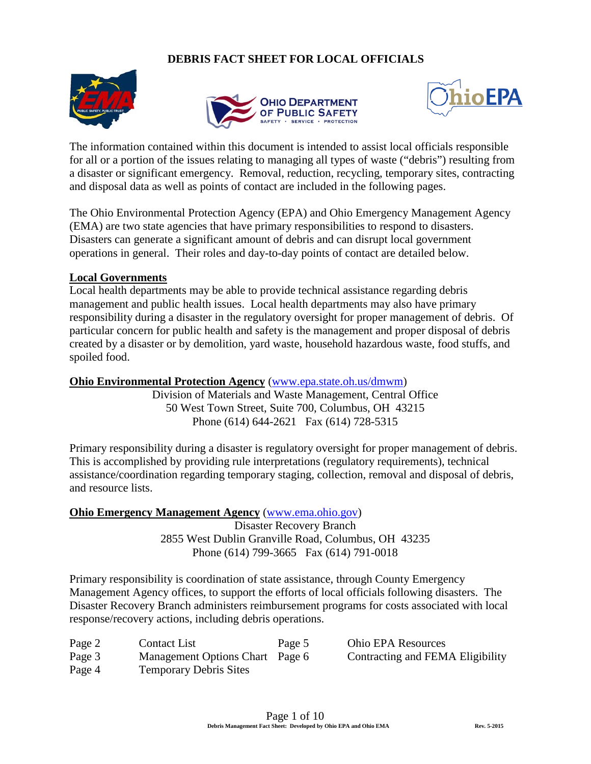## **DEBRIS FACT SHEET FOR LOCAL OFFICIALS**







The information contained within this document is intended to assist local officials responsible for all or a portion of the issues relating to managing all types of waste ("debris") resulting from a disaster or significant emergency. Removal, reduction, recycling, temporary sites, contracting and disposal data as well as points of contact are included in the following pages.

The Ohio Environmental Protection Agency (EPA) and Ohio Emergency Management Agency (EMA) are two state agencies that have primary responsibilities to respond to disasters. Disasters can generate a significant amount of debris and can disrupt local government operations in general. Their roles and day-to-day points of contact are detailed below.

### **Local Governments**

Local health departments may be able to provide technical assistance regarding debris management and public health issues. Local health departments may also have primary responsibility during a disaster in the regulatory oversight for proper management of debris. Of particular concern for public health and safety is the management and proper disposal of debris created by a disaster or by demolition, yard waste, household hazardous waste, food stuffs, and spoiled food.

### **Ohio Environmental Protection Agency** [\(www.epa.state.oh.us/dmwm\)](http://www.epa.state.oh.us/dmwm)

Division of Materials and Waste Management, Central Office 50 West Town Street, Suite 700, Columbus, OH 43215 Phone (614) 644-2621 Fax (614) 728-5315

Primary responsibility during a disaster is regulatory oversight for proper management of debris. This is accomplished by providing rule interpretations (regulatory requirements), technical assistance/coordination regarding temporary staging, collection, removal and disposal of debris, and resource lists.

### **Ohio Emergency Management Agency** [\(www.ema.ohio.gov\)](http://www.ema.ohio.gov/)

Disaster Recovery Branch 2855 West Dublin Granville Road, Columbus, OH 43235 Phone (614) 799-3665 Fax (614) 791-0018

Primary responsibility is coordination of state assistance, through County Emergency Management Agency offices, to support the efforts of local officials following disasters. The Disaster Recovery Branch administers reimbursement programs for costs associated with local response/recovery actions, including debris operations.

| Page 2 | Contact List                    | Page 5 | <b>Ohio EPA Resources</b>        |
|--------|---------------------------------|--------|----------------------------------|
| Page 3 | Management Options Chart Page 6 |        | Contracting and FEMA Eligibility |
| Page 4 | <b>Temporary Debris Sites</b>   |        |                                  |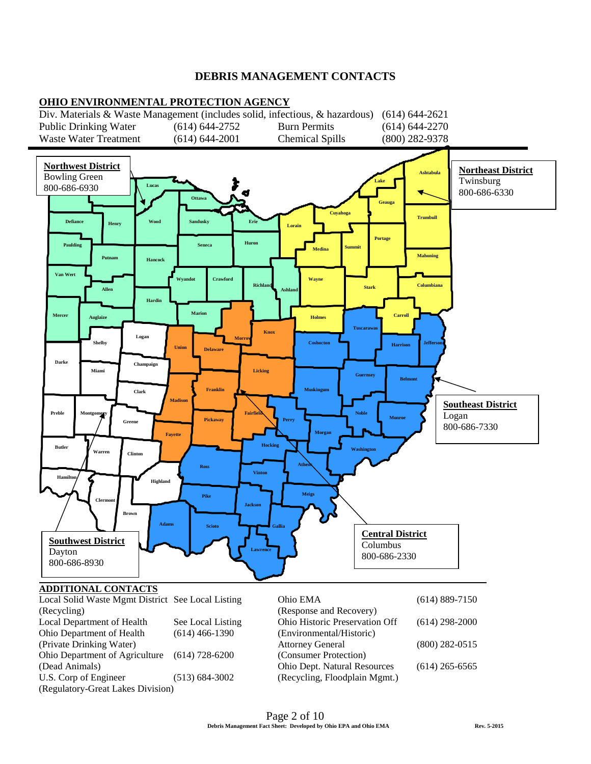### **DEBRIS MANAGEMENT CONTACTS**



# **ADDITIONAL CONTACTS**

| Local Solid Waste Mgmt District See Local Listing |                    | Ohio EMA                       | $(614) 889 - 7150$ |
|---------------------------------------------------|--------------------|--------------------------------|--------------------|
| (Recycling)                                       |                    | (Response and Recovery)        |                    |
| Local Department of Health                        | See Local Listing  | Ohio Historic Preservation Off | $(614)$ 298-2000   |
| Ohio Department of Health                         | $(614)$ 466-1390   | (Environmental/Historic)       |                    |
| (Private Drinking Water)                          |                    | <b>Attorney General</b>        | $(800)$ 282-0515   |
| Ohio Department of Agriculture                    | $(614)$ 728-6200   | (Consumer Protection)          |                    |
| (Dead Animals)                                    |                    | Ohio Dept. Natural Resources   | $(614)$ 265-6565   |
| U.S. Corp of Engineer                             | $(513) 684 - 3002$ | (Recycling, Floodplain Mgmt.)  |                    |
| (Regulatory-Great Lakes Division)                 |                    |                                |                    |
|                                                   |                    |                                |                    |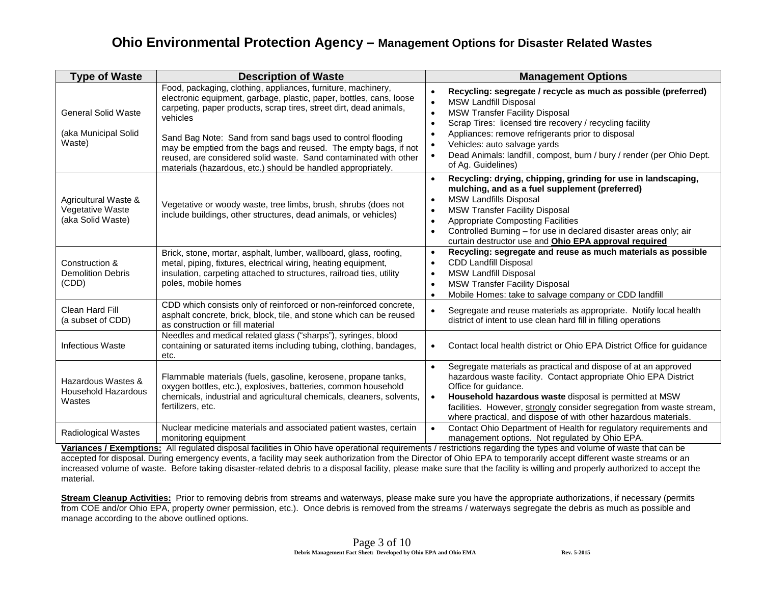# **Ohio Environmental Protection Agency – Management Options for Disaster Related Wastes**

| <b>Type of Waste</b>                                          | <b>Description of Waste</b>                                                                                                                                                                                                                                                                                                                                                                                                                                                                 | <b>Management Options</b>                                                                                                                                                                                                                                                                                                                                                                                                                                                  |  |
|---------------------------------------------------------------|---------------------------------------------------------------------------------------------------------------------------------------------------------------------------------------------------------------------------------------------------------------------------------------------------------------------------------------------------------------------------------------------------------------------------------------------------------------------------------------------|----------------------------------------------------------------------------------------------------------------------------------------------------------------------------------------------------------------------------------------------------------------------------------------------------------------------------------------------------------------------------------------------------------------------------------------------------------------------------|--|
| <b>General Solid Waste</b><br>(aka Municipal Solid<br>Waste)  | Food, packaging, clothing, appliances, furniture, machinery,<br>electronic equipment, garbage, plastic, paper, bottles, cans, loose<br>carpeting, paper products, scrap tires, street dirt, dead animals,<br>vehicles<br>Sand Bag Note: Sand from sand bags used to control flooding<br>may be emptied from the bags and reused. The empty bags, if not<br>reused, are considered solid waste. Sand contaminated with other<br>materials (hazardous, etc.) should be handled appropriately. | Recycling: segregate / recycle as much as possible (preferred)<br>$\bullet$<br><b>MSW Landfill Disposal</b><br>$\bullet$<br><b>MSW Transfer Facility Disposal</b><br>$\bullet$<br>Scrap Tires: licensed tire recovery / recycling facility<br>$\bullet$<br>Appliances: remove refrigerants prior to disposal<br>٠<br>Vehicles: auto salvage yards<br>$\bullet$<br>Dead Animals: landfill, compost, burn / bury / render (per Ohio Dept.<br>$\bullet$<br>of Ag. Guidelines) |  |
| Agricultural Waste &<br>Vegetative Waste<br>(aka Solid Waste) | Vegetative or woody waste, tree limbs, brush, shrubs (does not<br>include buildings, other structures, dead animals, or vehicles)                                                                                                                                                                                                                                                                                                                                                           | Recycling: drying, chipping, grinding for use in landscaping,<br>$\bullet$<br>mulching, and as a fuel supplement (preferred)<br><b>MSW Landfills Disposal</b><br>$\bullet$<br><b>MSW Transfer Facility Disposal</b><br>$\bullet$<br><b>Appropriate Composting Facilities</b><br>$\bullet$<br>Controlled Burning - for use in declared disaster areas only; air<br>$\bullet$<br>curtain destructor use and Ohio EPA approval required                                       |  |
| Construction &<br><b>Demolition Debris</b><br>(CDD)           | Brick, stone, mortar, asphalt, lumber, wallboard, glass, roofing,<br>metal, piping, fixtures, electrical wiring, heating equipment,<br>insulation, carpeting attached to structures, railroad ties, utility<br>poles, mobile homes                                                                                                                                                                                                                                                          | Recycling: segregate and reuse as much materials as possible<br>$\bullet$<br><b>CDD Landfill Disposal</b><br>$\bullet$<br><b>MSW Landfill Disposal</b><br>$\bullet$<br><b>MSW Transfer Facility Disposal</b><br>$\bullet$<br>Mobile Homes: take to salvage company or CDD landfill<br>$\bullet$                                                                                                                                                                            |  |
| Clean Hard Fill<br>(a subset of CDD)                          | CDD which consists only of reinforced or non-reinforced concrete,<br>asphalt concrete, brick, block, tile, and stone which can be reused<br>as construction or fill material                                                                                                                                                                                                                                                                                                                | Segregate and reuse materials as appropriate. Notify local health<br>$\bullet$<br>district of intent to use clean hard fill in filling operations                                                                                                                                                                                                                                                                                                                          |  |
| <b>Infectious Waste</b>                                       | Needles and medical related glass ("sharps"), syringes, blood<br>containing or saturated items including tubing, clothing, bandages,<br>etc.                                                                                                                                                                                                                                                                                                                                                | Contact local health district or Ohio EPA District Office for guidance<br>$\bullet$                                                                                                                                                                                                                                                                                                                                                                                        |  |
| Hazardous Wastes &<br><b>Household Hazardous</b><br>Wastes    | Flammable materials (fuels, gasoline, kerosene, propane tanks,<br>oxygen bottles, etc.), explosives, batteries, common household<br>chemicals, industrial and agricultural chemicals, cleaners, solvents,<br>fertilizers, etc.                                                                                                                                                                                                                                                              | Segregate materials as practical and dispose of at an approved<br>$\bullet$<br>hazardous waste facility. Contact appropriate Ohio EPA District<br>Office for guidance.<br>Household hazardous waste disposal is permitted at MSW<br>$\bullet$<br>facilities. However, strongly consider segregation from waste stream,<br>where practical, and dispose of with other hazardous materials.                                                                                  |  |
| <b>Radiological Wastes</b>                                    | Nuclear medicine materials and associated patient wastes, certain<br>monitoring equipment                                                                                                                                                                                                                                                                                                                                                                                                   | Contact Ohio Department of Health for regulatory requirements and<br>$\bullet$<br>management options. Not regulated by Ohio EPA.                                                                                                                                                                                                                                                                                                                                           |  |

**Variances / Exemptions:** All regulated disposal facilities in Ohio have operational requirements / restrictions regarding the types and volume of waste that can be accepted for disposal. During emergency events, a facility may seek authorization from the Director of Ohio EPA to temporarily accept different waste streams or an increased volume of waste. Before taking disaster-related debris to a disposal facility, please make sure that the facility is willing and properly authorized to accept the material.

**Stream Cleanup Activities:** Prior to removing debris from streams and waterways, please make sure you have the appropriate authorizations, if necessary (permits from COE and/or Ohio EPA, property owner permission, etc.). Once debris is removed from the streams / waterways segregate the debris as much as possible and manage according to the above outlined options.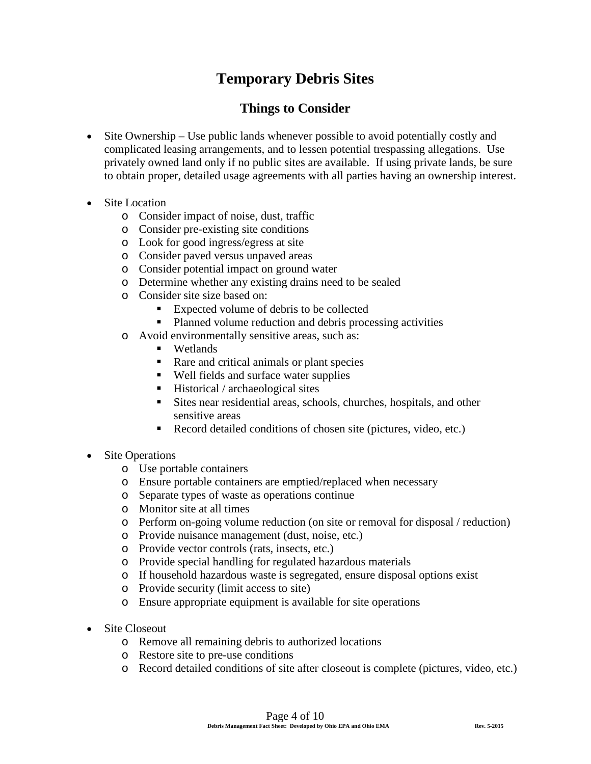# **Temporary Debris Sites**

# **Things to Consider**

- Site Ownership Use public lands whenever possible to avoid potentially costly and complicated leasing arrangements, and to lessen potential trespassing allegations. Use privately owned land only if no public sites are available. If using private lands, be sure to obtain proper, detailed usage agreements with all parties having an ownership interest.
- Site Location
	- o Consider impact of noise, dust, traffic
	- o Consider pre-existing site conditions
	- o Look for good ingress/egress at site
	- o Consider paved versus unpaved areas
	- o Consider potential impact on ground water
	- o Determine whether any existing drains need to be sealed
	- o Consider site size based on:
		- Expected volume of debris to be collected
		- Planned volume reduction and debris processing activities
	- o Avoid environmentally sensitive areas, such as:
		- **U** Wetlands
		- Rare and critical animals or plant species
		- Well fields and surface water supplies
		- $\blacksquare$  Historical / archaeological sites
		- Sites near residential areas, schools, churches, hospitals, and other sensitive areas
		- Record detailed conditions of chosen site (pictures, video, etc.)
- **Site Operations** 
	- o Use portable containers
	- o Ensure portable containers are emptied/replaced when necessary
	- o Separate types of waste as operations continue
	- o Monitor site at all times
	- o Perform on-going volume reduction (on site or removal for disposal / reduction)
	- o Provide nuisance management (dust, noise, etc.)
	- o Provide vector controls (rats, insects, etc.)
	- o Provide special handling for regulated hazardous materials
	- o If household hazardous waste is segregated, ensure disposal options exist
	- o Provide security (limit access to site)
	- o Ensure appropriate equipment is available for site operations
- Site Closeout
	- o Remove all remaining debris to authorized locations
	- o Restore site to pre-use conditions
	- o Record detailed conditions of site after closeout is complete (pictures, video, etc.)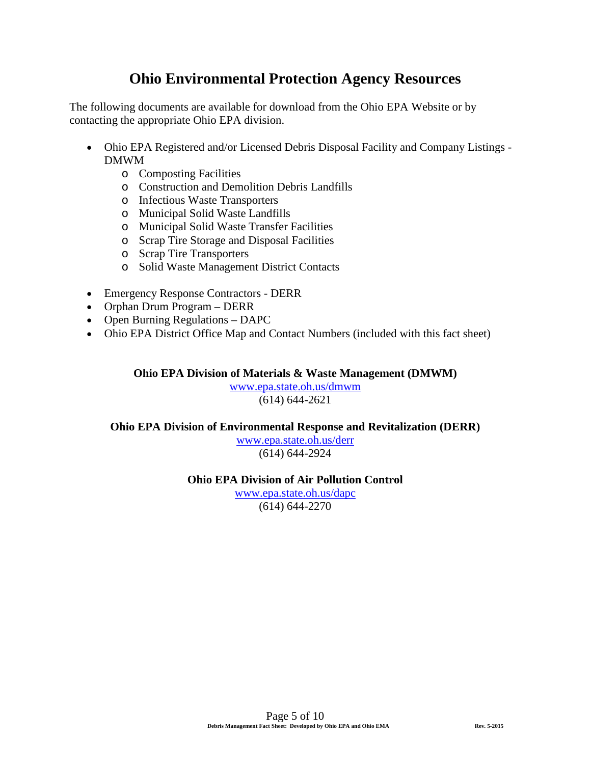# **Ohio Environmental Protection Agency Resources**

The following documents are available for download from the Ohio EPA Website or by contacting the appropriate Ohio EPA division.

- Ohio EPA Registered and/or Licensed Debris Disposal Facility and Company Listings DMWM
	- o Composting Facilities
	- o Construction and Demolition Debris Landfills
	- o Infectious Waste Transporters
	- o Municipal Solid Waste Landfills
	- o Municipal Solid Waste Transfer Facilities
	- o Scrap Tire Storage and Disposal Facilities
	- o Scrap Tire Transporters
	- o Solid Waste Management District Contacts
- Emergency Response Contractors DERR
- Orphan Drum Program DERR
- Open Burning Regulations DAPC
- Ohio EPA District Office Map and Contact Numbers (included with this fact sheet)

**Ohio EPA Division of Materials & Waste Management (DMWM)**

[www.epa.state.oh.us/dmwm](http://www.epa.state.oh.us/dmwm) (614) 644-2621

### **Ohio EPA Division of Environmental Response and Revitalization (DERR)**

[www.epa.state.oh.us/derr](http://www.epa.state.oh.us/derr) (614) 644-2924

### **Ohio EPA Division of Air Pollution Control**

[www.epa.state.oh.us/dapc](http://www.epa.state.oh.us/dapc) (614) 644-2270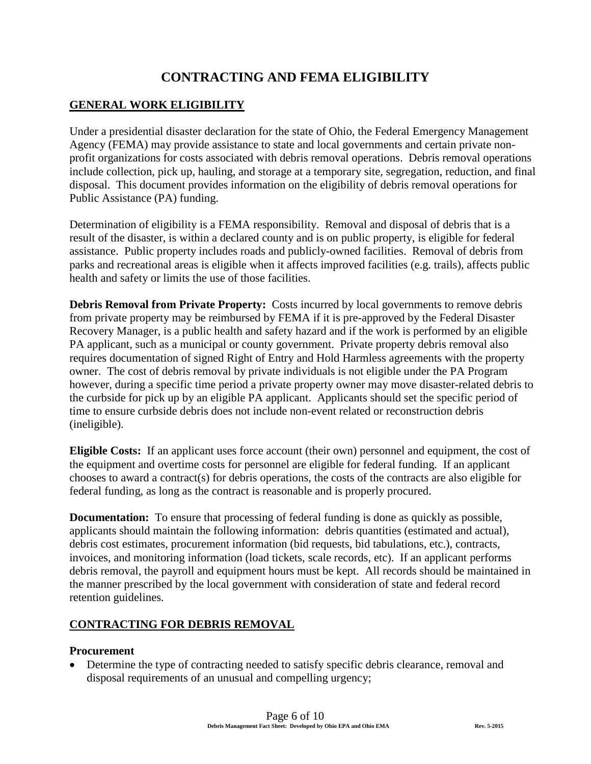# **CONTRACTING AND FEMA ELIGIBILITY**

### **GENERAL WORK ELIGIBILITY**

Under a presidential disaster declaration for the state of Ohio, the Federal Emergency Management Agency (FEMA) may provide assistance to state and local governments and certain private nonprofit organizations for costs associated with debris removal operations. Debris removal operations include collection, pick up, hauling, and storage at a temporary site, segregation, reduction, and final disposal. This document provides information on the eligibility of debris removal operations for Public Assistance (PA) funding.

Determination of eligibility is a FEMA responsibility. Removal and disposal of debris that is a result of the disaster, is within a declared county and is on public property, is eligible for federal assistance. Public property includes roads and publicly-owned facilities. Removal of debris from parks and recreational areas is eligible when it affects improved facilities (e.g. trails), affects public health and safety or limits the use of those facilities.

**Debris Removal from Private Property:** Costs incurred by local governments to remove debris from private property may be reimbursed by FEMA if it is pre-approved by the Federal Disaster Recovery Manager, is a public health and safety hazard and if the work is performed by an eligible PA applicant, such as a municipal or county government. Private property debris removal also requires documentation of signed Right of Entry and Hold Harmless agreements with the property owner. The cost of debris removal by private individuals is not eligible under the PA Program however, during a specific time period a private property owner may move disaster-related debris to the curbside for pick up by an eligible PA applicant. Applicants should set the specific period of time to ensure curbside debris does not include non-event related or reconstruction debris (ineligible).

**Eligible Costs:** If an applicant uses force account (their own) personnel and equipment, the cost of the equipment and overtime costs for personnel are eligible for federal funding. If an applicant chooses to award a contract(s) for debris operations, the costs of the contracts are also eligible for federal funding, as long as the contract is reasonable and is properly procured.

**Documentation:** To ensure that processing of federal funding is done as quickly as possible, applicants should maintain the following information: debris quantities (estimated and actual), debris cost estimates, procurement information (bid requests, bid tabulations, etc.), contracts, invoices, and monitoring information (load tickets, scale records, etc). If an applicant performs debris removal, the payroll and equipment hours must be kept. All records should be maintained in the manner prescribed by the local government with consideration of state and federal record retention guidelines.

## **CONTRACTING FOR DEBRIS REMOVAL**

### **Procurement**

• Determine the type of contracting needed to satisfy specific debris clearance, removal and disposal requirements of an unusual and compelling urgency;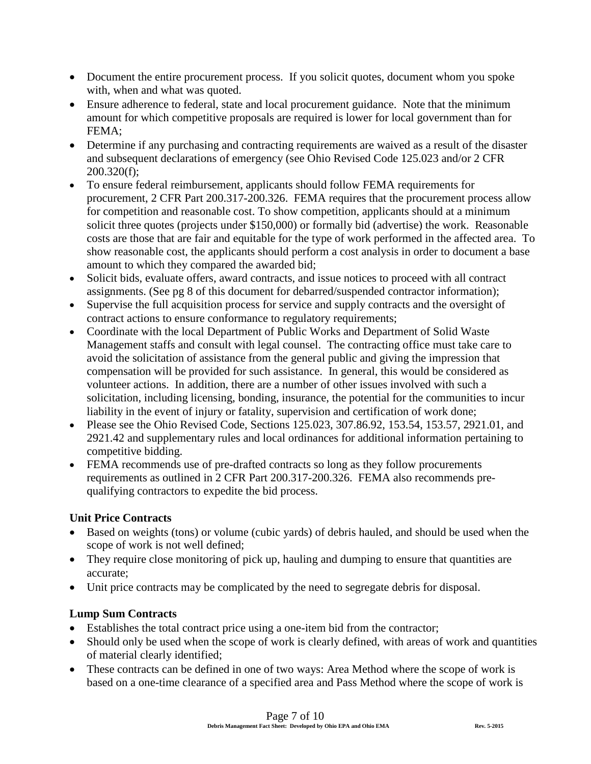- Document the entire procurement process. If you solicit quotes, document whom you spoke with, when and what was quoted.
- Ensure adherence to federal, state and local procurement guidance. Note that the minimum amount for which competitive proposals are required is lower for local government than for FEMA;
- Determine if any purchasing and contracting requirements are waived as a result of the disaster and subsequent declarations of emergency (see Ohio Revised Code 125.023 and/or 2 CFR 200.320(f);
- To ensure federal reimbursement, applicants should follow FEMA requirements for procurement, 2 CFR Part 200.317-200.326. FEMA requires that the procurement process allow for competition and reasonable cost. To show competition, applicants should at a minimum solicit three quotes (projects under \$150,000) or formally bid (advertise) the work. Reasonable costs are those that are fair and equitable for the type of work performed in the affected area. To show reasonable cost, the applicants should perform a cost analysis in order to document a base amount to which they compared the awarded bid;
- Solicit bids, evaluate offers, award contracts, and issue notices to proceed with all contract assignments. (See pg 8 of this document for debarred/suspended contractor information);
- Supervise the full acquisition process for service and supply contracts and the oversight of contract actions to ensure conformance to regulatory requirements;
- Coordinate with the local Department of Public Works and Department of Solid Waste Management staffs and consult with legal counsel. The contracting office must take care to avoid the solicitation of assistance from the general public and giving the impression that compensation will be provided for such assistance. In general, this would be considered as volunteer actions. In addition, there are a number of other issues involved with such a solicitation, including licensing, bonding, insurance, the potential for the communities to incur liability in the event of injury or fatality, supervision and certification of work done;
- Please see the Ohio Revised Code, Sections 125.023, 307.86.92, 153.54, 153.57, 2921.01, and 2921.42 and supplementary rules and local ordinances for additional information pertaining to competitive bidding.
- FEMA recommends use of pre-drafted contracts so long as they follow procurements requirements as outlined in 2 CFR Part 200.317-200.326. FEMA also recommends prequalifying contractors to expedite the bid process.

## **Unit Price Contracts**

- Based on weights (tons) or volume (cubic yards) of debris hauled, and should be used when the scope of work is not well defined;
- They require close monitoring of pick up, hauling and dumping to ensure that quantities are accurate;
- Unit price contracts may be complicated by the need to segregate debris for disposal.

### **Lump Sum Contracts**

- Establishes the total contract price using a one-item bid from the contractor;
- Should only be used when the scope of work is clearly defined, with areas of work and quantities of material clearly identified;
- These contracts can be defined in one of two ways: Area Method where the scope of work is based on a one-time clearance of a specified area and Pass Method where the scope of work is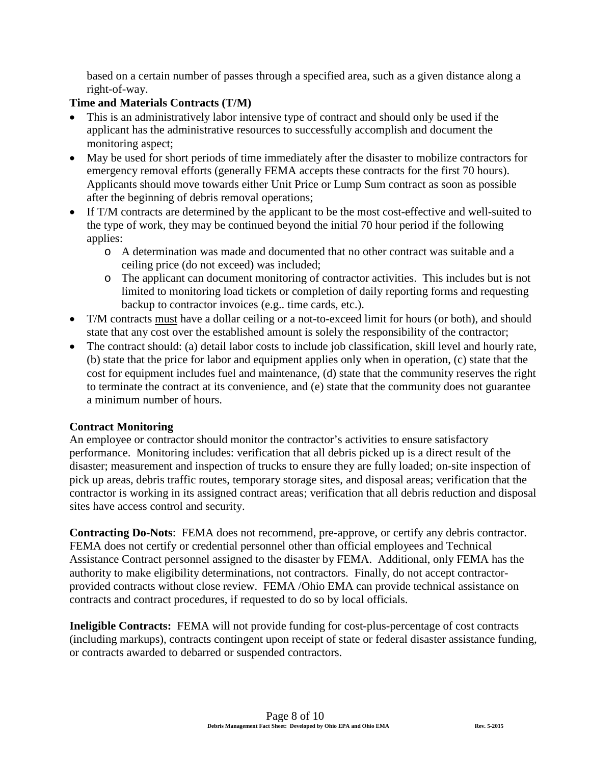based on a certain number of passes through a specified area, such as a given distance along a right-of-way.

### **Time and Materials Contracts (T/M)**

- This is an administratively labor intensive type of contract and should only be used if the applicant has the administrative resources to successfully accomplish and document the monitoring aspect;
- May be used for short periods of time immediately after the disaster to mobilize contractors for emergency removal efforts (generally FEMA accepts these contracts for the first 70 hours). Applicants should move towards either Unit Price or Lump Sum contract as soon as possible after the beginning of debris removal operations;
- If T/M contracts are determined by the applicant to be the most cost-effective and well-suited to the type of work, they may be continued beyond the initial 70 hour period if the following applies:
	- o A determination was made and documented that no other contract was suitable and a ceiling price (do not exceed) was included;
	- o The applicant can document monitoring of contractor activities. This includes but is not limited to monitoring load tickets or completion of daily reporting forms and requesting backup to contractor invoices (e.g.. time cards, etc.).
- T/M contracts must have a dollar ceiling or a not-to-exceed limit for hours (or both), and should state that any cost over the established amount is solely the responsibility of the contractor;
- The contract should: (a) detail labor costs to include job classification, skill level and hourly rate, (b) state that the price for labor and equipment applies only when in operation, (c) state that the cost for equipment includes fuel and maintenance, (d) state that the community reserves the right to terminate the contract at its convenience, and (e) state that the community does not guarantee a minimum number of hours.

### **Contract Monitoring**

An employee or contractor should monitor the contractor's activities to ensure satisfactory performance. Monitoring includes: verification that all debris picked up is a direct result of the disaster; measurement and inspection of trucks to ensure they are fully loaded; on-site inspection of pick up areas, debris traffic routes, temporary storage sites, and disposal areas; verification that the contractor is working in its assigned contract areas; verification that all debris reduction and disposal sites have access control and security.

**Contracting Do-Nots**: FEMA does not recommend, pre-approve, or certify any debris contractor. FEMA does not certify or credential personnel other than official employees and Technical Assistance Contract personnel assigned to the disaster by FEMA. Additional, only FEMA has the authority to make eligibility determinations, not contractors. Finally, do not accept contractorprovided contracts without close review. FEMA /Ohio EMA can provide technical assistance on contracts and contract procedures, if requested to do so by local officials.

**Ineligible Contracts:** FEMA will not provide funding for cost-plus-percentage of cost contracts (including markups), contracts contingent upon receipt of state or federal disaster assistance funding, or contracts awarded to debarred or suspended contractors.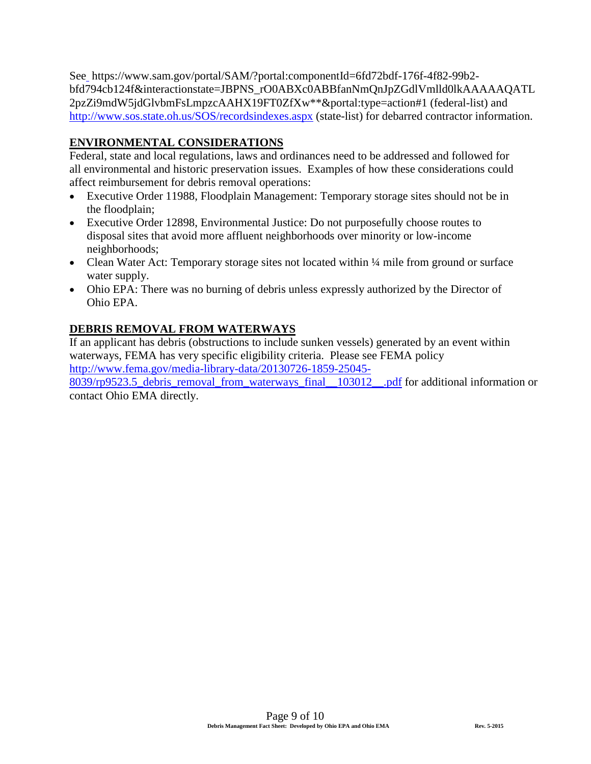See https://www.sam.gov/portal/SAM/?portal:componentId=6fd72bdf-176f-4f82-99b2 bfd794cb124f&interactionstate=JBPNS\_rO0ABXc0ABBfanNmQnJpZGdlVmlld0lkAAAAAQATL 2pzZi9mdW5jdGlvbmFsLmpzcAAHX19FT0ZfXw\*\*&portal:type=action#1 (federal-list) and <http://www.sos.state.oh.us/SOS/recordsindexes.aspx> (state-list) for debarred contractor information.

## **ENVIRONMENTAL CONSIDERATIONS**

Federal, state and local regulations, laws and ordinances need to be addressed and followed for all environmental and historic preservation issues. Examples of how these considerations could affect reimbursement for debris removal operations:

- Executive Order 11988, Floodplain Management: Temporary storage sites should not be in the floodplain;
- Executive Order 12898, Environmental Justice: Do not purposefully choose routes to disposal sites that avoid more affluent neighborhoods over minority or low-income neighborhoods;
- Clean Water Act: Temporary storage sites not located within  $\frac{1}{4}$  mile from ground or surface water supply.
- Ohio EPA: There was no burning of debris unless expressly authorized by the Director of Ohio EPA.

## **DEBRIS REMOVAL FROM WATERWAYS**

If an applicant has debris (obstructions to include sunken vessels) generated by an event within waterways, FEMA has very specific eligibility criteria. Please see FEMA policy [http://www.fema.gov/media-library-data/20130726-1859-25045-](http://www.fema.gov/media-library-data/20130726-1859-25045-8039/rp9523.5_debris_removal_from_waterways_final__103012__.pdf) [8039/rp9523.5\\_debris\\_removal\\_from\\_waterways\\_final\\_\\_103012\\_\\_.pdf](http://www.fema.gov/media-library-data/20130726-1859-25045-8039/rp9523.5_debris_removal_from_waterways_final__103012__.pdf) for additional information or contact Ohio EMA directly.